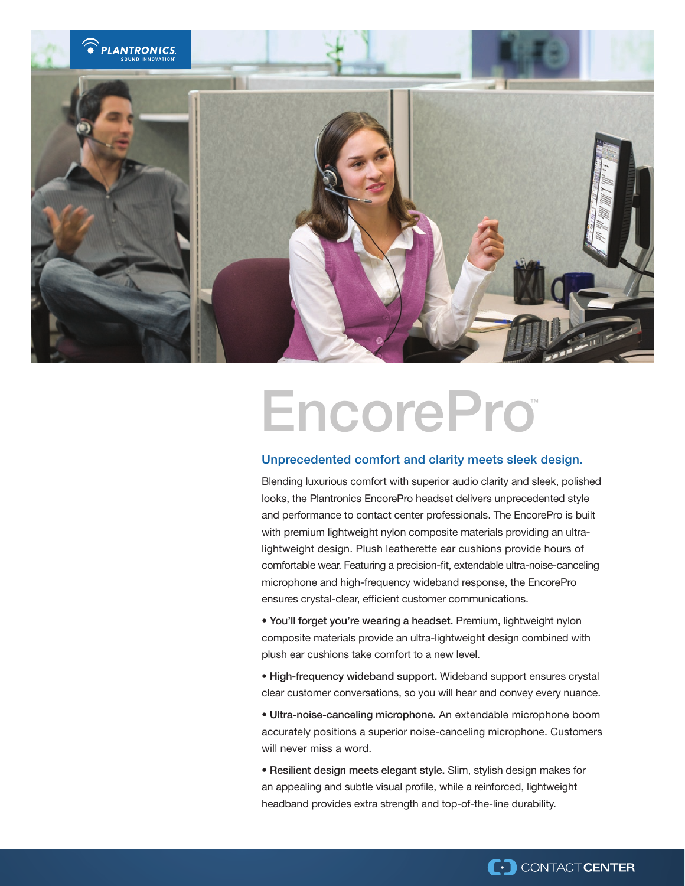

# EncorePro™

# Unprecedented comfort and clarity meets sleek design.

Blending luxurious comfort with superior audio clarity and sleek, polished looks, the Plantronics EncorePro headset delivers unprecedented style and performance to contact center professionals. The EncorePro is built with premium lightweight nylon composite materials providing an ultralightweight design. Plush leatherette ear cushions provide hours of comfortable wear. Featuring a precision-fit, extendable ultra-noise-canceling microphone and high-frequency wideband response, the EncorePro ensures crystal-clear, efficient customer communications.

• You'll forget you're wearing a headset. Premium, lightweight nylon composite materials provide an ultra-lightweight design combined with plush ear cushions take comfort to a new level.

• High-frequency wideband support. Wideband support ensures crystal clear customer conversations, so you will hear and convey every nuance.

• Ultra-noise-canceling microphone. An extendable microphone boom accurately positions a superior noise-canceling microphone. Customers will never miss a word.

• Resilient design meets elegant style. Slim, stylish design makes for an appealing and subtle visual profile, while a reinforced, lightweight headband provides extra strength and top-of-the-line durability.